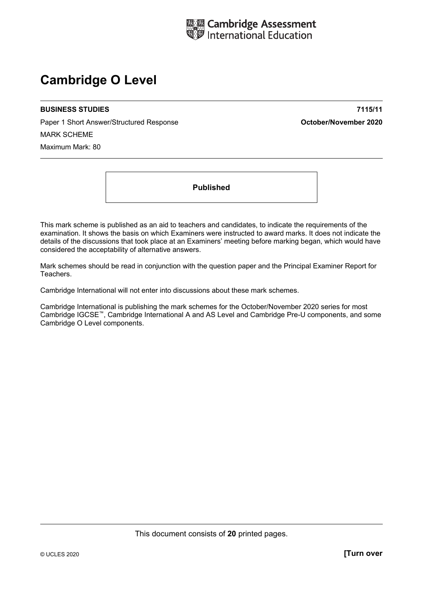

# **Cambridge O Level**

#### **BUSINESS STUDIES 7115/11**

Paper 1 Short Answer/Structured Response **October/November 2020** MARK SCHEME Maximum Mark: 80

**Published** 

This mark scheme is published as an aid to teachers and candidates, to indicate the requirements of the examination. It shows the basis on which Examiners were instructed to award marks. It does not indicate the details of the discussions that took place at an Examiners' meeting before marking began, which would have considered the acceptability of alternative answers.

Mark schemes should be read in conjunction with the question paper and the Principal Examiner Report for Teachers.

Cambridge International will not enter into discussions about these mark schemes.

Cambridge International is publishing the mark schemes for the October/November 2020 series for most Cambridge IGCSE™, Cambridge International A and AS Level and Cambridge Pre-U components, and some Cambridge O Level components.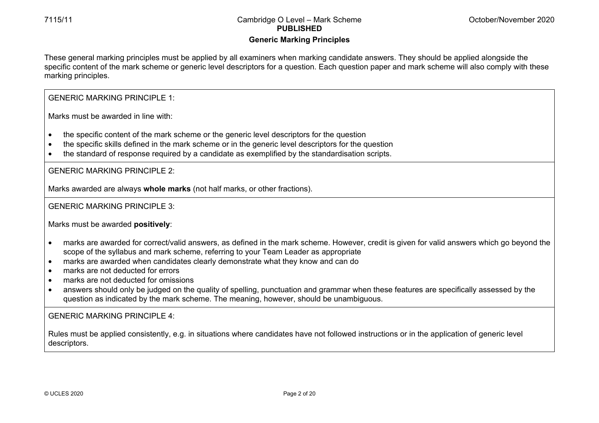# **Generic Marking Principles**

These general marking principles must be applied by all examiners when marking candidate answers. They should be applied alongside the specific content of the mark scheme or generic level descriptors for a question. Each question paper and mark scheme will also comply with these marking principles.

## GENERIC MARKING PRINCIPLE 1:

Marks must be awarded in line with:

- the specific content of the mark scheme or the generic level descriptors for the question
- the specific skills defined in the mark scheme or in the generic level descriptors for the question
- the standard of response required by a candidate as exemplified by the standardisation scripts.

GENERIC MARKING PRINCIPLE 2:

Marks awarded are always **whole marks** (not half marks, or other fractions).

## GENERIC MARKING PRINCIPLE 3:

Marks must be awarded **positively**:

- marks are awarded for correct/valid answers, as defined in the mark scheme. However, credit is given for valid answers which go beyond the scope of the syllabus and mark scheme, referring to your Team Leader as appropriate
- marks are awarded when candidates clearly demonstrate what they know and can do
- marks are not deducted for errors
- marks are not deducted for omissions
- answers should only be judged on the quality of spelling, punctuation and grammar when these features are specifically assessed by the question as indicated by the mark scheme. The meaning, however, should be unambiguous.

GENERIC MARKING PRINCIPLE  $4$ 

Rules must be applied consistently, e.g. in situations where candidates have not followed instructions or in the application of generic level descriptors.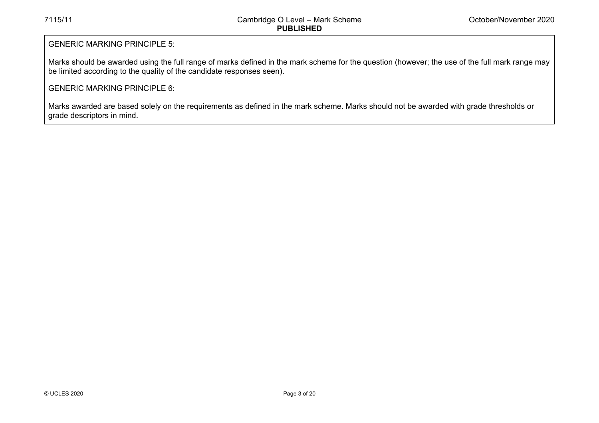## GENERIC MARKING PRINCIPLE 5:

Marks should be awarded using the full range of marks defined in the mark scheme for the question (however; the use of the full mark range may be limited according to the quality of the candidate responses seen).

## GENERIC MARKING PRINCIPLE 6:

Marks awarded are based solely on the requirements as defined in the mark scheme. Marks should not be awarded with grade thresholds or grade descriptors in mind.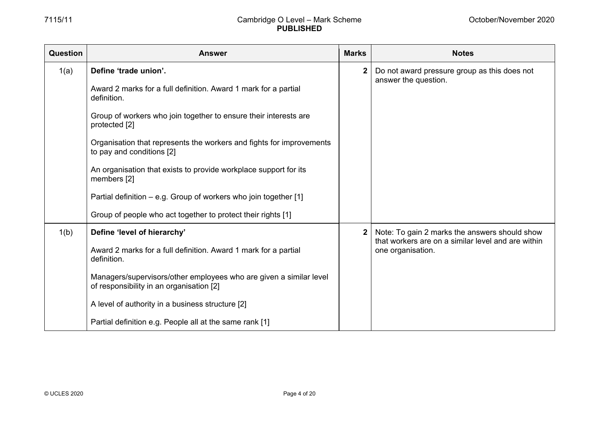| Question | <b>Answer</b>                                                                                                  | <b>Marks</b> | <b>Notes</b>                                                                                        |
|----------|----------------------------------------------------------------------------------------------------------------|--------------|-----------------------------------------------------------------------------------------------------|
| 1(a)     | Define 'trade union'.                                                                                          | $\mathbf 2$  | Do not award pressure group as this does not<br>answer the question.                                |
|          | Award 2 marks for a full definition. Award 1 mark for a partial<br>definition.                                 |              |                                                                                                     |
|          | Group of workers who join together to ensure their interests are<br>protected [2]                              |              |                                                                                                     |
|          | Organisation that represents the workers and fights for improvements<br>to pay and conditions [2]              |              |                                                                                                     |
|          | An organisation that exists to provide workplace support for its<br>members [2]                                |              |                                                                                                     |
|          | Partial definition – e.g. Group of workers who join together [1]                                               |              |                                                                                                     |
|          | Group of people who act together to protect their rights [1]                                                   |              |                                                                                                     |
| 1(b)     | Define 'level of hierarchy'                                                                                    |              | Note: To gain 2 marks the answers should show<br>that workers are on a similar level and are within |
|          | Award 2 marks for a full definition. Award 1 mark for a partial<br>definition.                                 |              | one organisation.                                                                                   |
|          | Managers/supervisors/other employees who are given a similar level<br>of responsibility in an organisation [2] |              |                                                                                                     |
|          | A level of authority in a business structure [2]                                                               |              |                                                                                                     |
|          | Partial definition e.g. People all at the same rank [1]                                                        |              |                                                                                                     |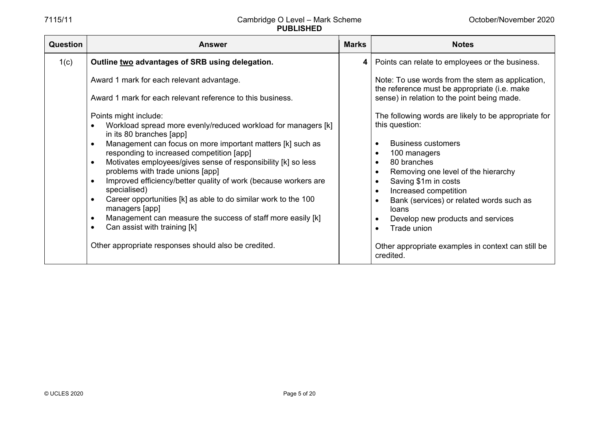| Question | <b>Answer</b>                                                                                                                                                                                                                                                                                                                                                                                                                                                                                                                                                                                                                                                | <b>Marks</b> | <b>Notes</b>                                                                                                                                                                                                                                                                                                                                                  |
|----------|--------------------------------------------------------------------------------------------------------------------------------------------------------------------------------------------------------------------------------------------------------------------------------------------------------------------------------------------------------------------------------------------------------------------------------------------------------------------------------------------------------------------------------------------------------------------------------------------------------------------------------------------------------------|--------------|---------------------------------------------------------------------------------------------------------------------------------------------------------------------------------------------------------------------------------------------------------------------------------------------------------------------------------------------------------------|
| 1(c)     | Outline two advantages of SRB using delegation.                                                                                                                                                                                                                                                                                                                                                                                                                                                                                                                                                                                                              |              | 4   Points can relate to employees or the business.                                                                                                                                                                                                                                                                                                           |
|          | Award 1 mark for each relevant advantage.<br>Award 1 mark for each relevant reference to this business.                                                                                                                                                                                                                                                                                                                                                                                                                                                                                                                                                      |              | Note: To use words from the stem as application,<br>the reference must be appropriate (i.e. make<br>sense) in relation to the point being made.                                                                                                                                                                                                               |
|          | Points might include:<br>Workload spread more evenly/reduced workload for managers [k]<br>in its 80 branches [app]<br>Management can focus on more important matters [k] such as<br>$\bullet$<br>responding to increased competition [app]<br>Motivates employees/gives sense of responsibility [k] so less<br>$\bullet$<br>problems with trade unions [app]<br>Improved efficiency/better quality of work (because workers are<br>$\bullet$<br>specialised)<br>Career opportunities [k] as able to do similar work to the 100<br>$\bullet$<br>managers [app]<br>Management can measure the success of staff more easily [k]<br>Can assist with training [k] |              | The following words are likely to be appropriate for<br>this question:<br><b>Business customers</b><br>100 managers<br>80 branches<br>$\bullet$<br>Removing one level of the hierarchy<br>Saving \$1m in costs<br>Increased competition<br>$\bullet$<br>Bank (services) or related words such as<br>loans<br>Develop new products and services<br>Trade union |
|          | Other appropriate responses should also be credited.                                                                                                                                                                                                                                                                                                                                                                                                                                                                                                                                                                                                         |              | Other appropriate examples in context can still be<br>credited.                                                                                                                                                                                                                                                                                               |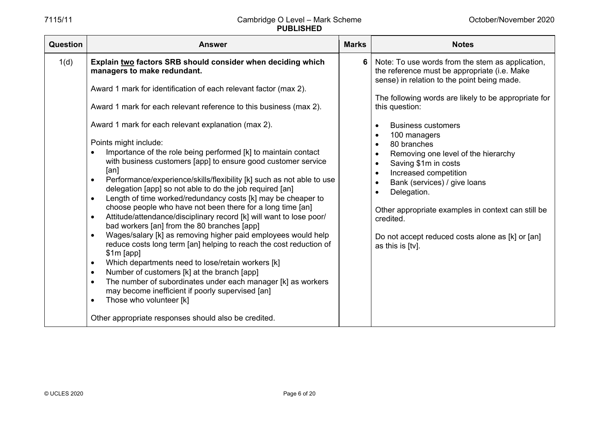| <b>Question</b> | <b>Answer</b>                                                                                                                                                                                                                                                                                                                                                                                                                                                                                                                                                                                                                                                                                                                                                                                                                                                                                                                                                                                                                                                                                                                                                                                                                                                                                                                                                    | <b>Marks</b> | <b>Notes</b>                                                                                                                                                                                                                                                                                                                                                                                                                                                                                                                                                                                                                                          |
|-----------------|------------------------------------------------------------------------------------------------------------------------------------------------------------------------------------------------------------------------------------------------------------------------------------------------------------------------------------------------------------------------------------------------------------------------------------------------------------------------------------------------------------------------------------------------------------------------------------------------------------------------------------------------------------------------------------------------------------------------------------------------------------------------------------------------------------------------------------------------------------------------------------------------------------------------------------------------------------------------------------------------------------------------------------------------------------------------------------------------------------------------------------------------------------------------------------------------------------------------------------------------------------------------------------------------------------------------------------------------------------------|--------------|-------------------------------------------------------------------------------------------------------------------------------------------------------------------------------------------------------------------------------------------------------------------------------------------------------------------------------------------------------------------------------------------------------------------------------------------------------------------------------------------------------------------------------------------------------------------------------------------------------------------------------------------------------|
| 1(d)            | Explain two factors SRB should consider when deciding which<br>managers to make redundant.<br>Award 1 mark for identification of each relevant factor (max 2).<br>Award 1 mark for each relevant reference to this business (max 2).<br>Award 1 mark for each relevant explanation (max 2).<br>Points might include:<br>Importance of the role being performed [k] to maintain contact<br>with business customers [app] to ensure good customer service<br>[an]<br>Performance/experience/skills/flexibility [k] such as not able to use<br>delegation [app] so not able to do the job required [an]<br>Length of time worked/redundancy costs [k] may be cheaper to<br>choose people who have not been there for a long time [an]<br>Attitude/attendance/disciplinary record [k] will want to lose poor/<br>bad workers [an] from the 80 branches [app]<br>Wages/salary [k] as removing higher paid employees would help<br>reduce costs long term [an] helping to reach the cost reduction of<br>$$1m$ [app]<br>Which departments need to lose/retain workers [k]<br>$\bullet$<br>Number of customers [k] at the branch [app]<br>$\bullet$<br>The number of subordinates under each manager [k] as workers<br>may become inefficient if poorly supervised [an]<br>Those who volunteer [k]<br>$\bullet$<br>Other appropriate responses should also be credited. | 6            | Note: To use words from the stem as application,<br>the reference must be appropriate (i.e. Make<br>sense) in relation to the point being made.<br>The following words are likely to be appropriate for<br>this question:<br><b>Business customers</b><br>$\bullet$<br>100 managers<br>$\bullet$<br>80 branches<br>$\bullet$<br>Removing one level of the hierarchy<br>$\bullet$<br>Saving \$1m in costs<br>$\bullet$<br>Increased competition<br>Bank (services) / give loans<br>$\bullet$<br>Delegation.<br>Other appropriate examples in context can still be<br>credited.<br>Do not accept reduced costs alone as [k] or [an]<br>as this is [tv]. |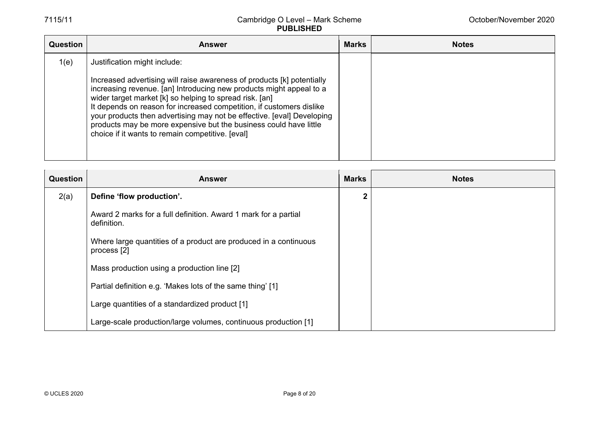| <b>Question</b> | <b>Answer</b>                                                                                                                                                                                                                                                                                                                                                                                                                                                                       | <b>Marks</b> | <b>Notes</b> |
|-----------------|-------------------------------------------------------------------------------------------------------------------------------------------------------------------------------------------------------------------------------------------------------------------------------------------------------------------------------------------------------------------------------------------------------------------------------------------------------------------------------------|--------------|--------------|
| 1(e)            | Justification might include:                                                                                                                                                                                                                                                                                                                                                                                                                                                        |              |              |
|                 | Increased advertising will raise awareness of products [k] potentially<br>increasing revenue. [an] Introducing new products might appeal to a<br>wider target market [k] so helping to spread risk. [an]<br>It depends on reason for increased competition, if customers dislike<br>your products then advertising may not be effective. [eval] Developing<br>products may be more expensive but the business could have little<br>choice if it wants to remain competitive. [eval] |              |              |

| <b>Question</b> | <b>Answer</b>                                                                   | <b>Marks</b> | <b>Notes</b> |
|-----------------|---------------------------------------------------------------------------------|--------------|--------------|
| 2(a)            | Define 'flow production'.                                                       |              |              |
|                 | Award 2 marks for a full definition. Award 1 mark for a partial<br>definition.  |              |              |
|                 | Where large quantities of a product are produced in a continuous<br>process [2] |              |              |
|                 | Mass production using a production line [2]                                     |              |              |
|                 | Partial definition e.g. 'Makes lots of the same thing' [1]                      |              |              |
|                 | Large quantities of a standardized product [1]                                  |              |              |
|                 | Large-scale production/large volumes, continuous production [1]                 |              |              |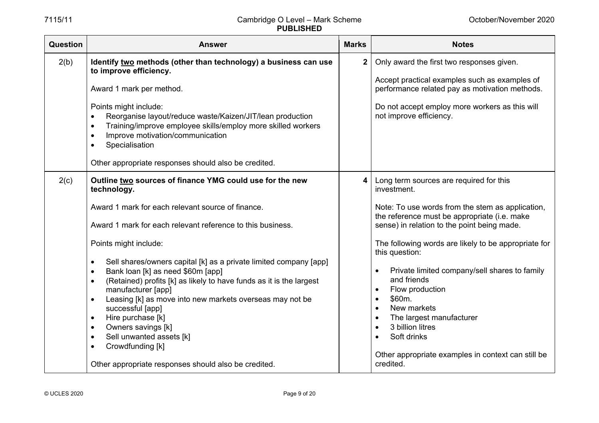| Question | <b>Answer</b>                                                                                                                                                                                                                                                                                                                                                                                                                                                                                                                                                           | <b>Marks</b>   | <b>Notes</b>                                                                                                                                                                                                                                                                                                                                                             |
|----------|-------------------------------------------------------------------------------------------------------------------------------------------------------------------------------------------------------------------------------------------------------------------------------------------------------------------------------------------------------------------------------------------------------------------------------------------------------------------------------------------------------------------------------------------------------------------------|----------------|--------------------------------------------------------------------------------------------------------------------------------------------------------------------------------------------------------------------------------------------------------------------------------------------------------------------------------------------------------------------------|
| 2(b)     | Identify two methods (other than technology) a business can use<br>to improve efficiency.<br>Award 1 mark per method.<br>Points might include:<br>Reorganise layout/reduce waste/Kaizen/JIT/lean production<br>Training/improve employee skills/employ more skilled workers<br>$\bullet$<br>Improve motivation/communication<br>$\bullet$<br>Specialisation                                                                                                                                                                                                             | 2 <sup>1</sup> | Only award the first two responses given.<br>Accept practical examples such as examples of<br>performance related pay as motivation methods.<br>Do not accept employ more workers as this will<br>not improve efficiency.                                                                                                                                                |
|          | Other appropriate responses should also be credited.                                                                                                                                                                                                                                                                                                                                                                                                                                                                                                                    |                |                                                                                                                                                                                                                                                                                                                                                                          |
| 2(c)     | Outline two sources of finance YMG could use for the new<br>technology.                                                                                                                                                                                                                                                                                                                                                                                                                                                                                                 | 4 <sup>1</sup> | Long term sources are required for this<br>investment.                                                                                                                                                                                                                                                                                                                   |
|          | Award 1 mark for each relevant source of finance.<br>Award 1 mark for each relevant reference to this business.                                                                                                                                                                                                                                                                                                                                                                                                                                                         |                | Note: To use words from the stem as application,<br>the reference must be appropriate (i.e. make<br>sense) in relation to the point being made.                                                                                                                                                                                                                          |
|          | Points might include:<br>Sell shares/owners capital [k] as a private limited company [app]<br>$\bullet$<br>Bank loan [k] as need \$60m [app]<br>$\bullet$<br>(Retained) profits [k] as likely to have funds as it is the largest<br>$\bullet$<br>manufacturer [app]<br>Leasing [k] as move into new markets overseas may not be<br>$\bullet$<br>successful [app]<br>Hire purchase [k]<br>$\bullet$<br>Owners savings [k]<br>$\bullet$<br>Sell unwanted assets [k]<br>$\bullet$<br>Crowdfunding [k]<br>$\bullet$<br>Other appropriate responses should also be credited. |                | The following words are likely to be appropriate for<br>this question:<br>Private limited company/sell shares to family<br>and friends<br>Flow production<br>\$60m.<br>$\bullet$<br>New markets<br>$\bullet$<br>The largest manufacturer<br>$\bullet$<br>3 billion litres<br>$\bullet$<br>Soft drinks<br>Other appropriate examples in context can still be<br>credited. |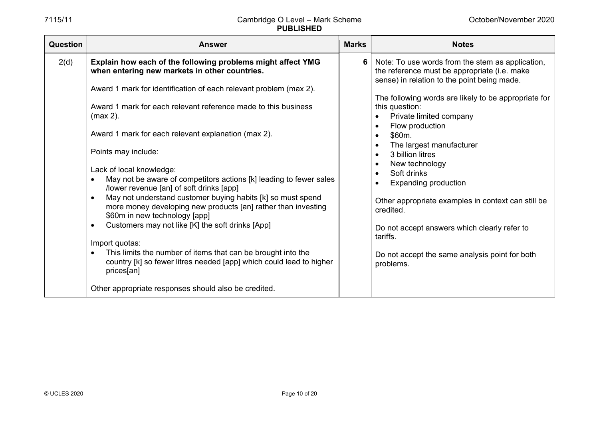$\blacksquare$ 

## 7115/11 Cambridge O Level – Mark Scheme **PUBLISHED**

| Question | <b>Answer</b>                                                                                                                                                                                                                                                                                                                                                                                                                                                                                                                                                                                                                                                                                                                                                                                                                                                                                                                                      | <b>Marks</b> | <b>Notes</b>                                                                                                                                                                                                                                                                                                                                                                                                                                                                                                                                                                                                                                                                               |
|----------|----------------------------------------------------------------------------------------------------------------------------------------------------------------------------------------------------------------------------------------------------------------------------------------------------------------------------------------------------------------------------------------------------------------------------------------------------------------------------------------------------------------------------------------------------------------------------------------------------------------------------------------------------------------------------------------------------------------------------------------------------------------------------------------------------------------------------------------------------------------------------------------------------------------------------------------------------|--------------|--------------------------------------------------------------------------------------------------------------------------------------------------------------------------------------------------------------------------------------------------------------------------------------------------------------------------------------------------------------------------------------------------------------------------------------------------------------------------------------------------------------------------------------------------------------------------------------------------------------------------------------------------------------------------------------------|
| 2(d)     | Explain how each of the following problems might affect YMG<br>when entering new markets in other countries.<br>Award 1 mark for identification of each relevant problem (max 2).<br>Award 1 mark for each relevant reference made to this business<br>$(max 2)$ .<br>Award 1 mark for each relevant explanation (max 2).<br>Points may include:<br>Lack of local knowledge:<br>May not be aware of competitors actions [k] leading to fewer sales<br>/lower revenue [an] of soft drinks [app]<br>May not understand customer buying habits [k] so must spend<br>more money developing new products [an] rather than investing<br>\$60m in new technology [app]<br>Customers may not like [K] the soft drinks [App]<br>Import quotas:<br>This limits the number of items that can be brought into the<br>country [k] so fewer litres needed [app] which could lead to higher<br>prices[an]<br>Other appropriate responses should also be credited. | 6            | Note: To use words from the stem as application,<br>the reference must be appropriate (i.e. make<br>sense) in relation to the point being made.<br>The following words are likely to be appropriate for<br>this question:<br>Private limited company<br>$\bullet$<br>Flow production<br>$\bullet$<br>\$60m.<br>$\bullet$<br>The largest manufacturer<br>$\bullet$<br>3 billion litres<br>$\bullet$<br>New technology<br>$\bullet$<br>Soft drinks<br>$\bullet$<br><b>Expanding production</b><br>Other appropriate examples in context can still be<br>credited.<br>Do not accept answers which clearly refer to<br>tariffs.<br>Do not accept the same analysis point for both<br>problems. |
|          |                                                                                                                                                                                                                                                                                                                                                                                                                                                                                                                                                                                                                                                                                                                                                                                                                                                                                                                                                    |              |                                                                                                                                                                                                                                                                                                                                                                                                                                                                                                                                                                                                                                                                                            |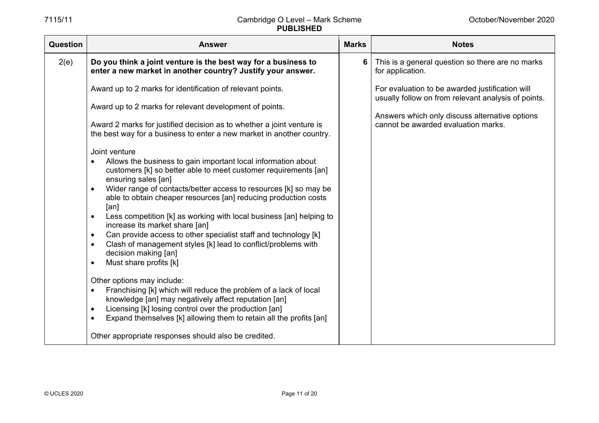| Question | <b>Answer</b>                                                                                                                                                                                                                                                                                                                                                                                                                                                                                                                                                                                                                                                                                                                                                                                                                                                                                                                                                                                                                                                                                                                                                                                                                                                                         | <b>Marks</b> | <b>Notes</b>                                                                                                                                                                                    |
|----------|---------------------------------------------------------------------------------------------------------------------------------------------------------------------------------------------------------------------------------------------------------------------------------------------------------------------------------------------------------------------------------------------------------------------------------------------------------------------------------------------------------------------------------------------------------------------------------------------------------------------------------------------------------------------------------------------------------------------------------------------------------------------------------------------------------------------------------------------------------------------------------------------------------------------------------------------------------------------------------------------------------------------------------------------------------------------------------------------------------------------------------------------------------------------------------------------------------------------------------------------------------------------------------------|--------------|-------------------------------------------------------------------------------------------------------------------------------------------------------------------------------------------------|
| 2(e)     | Do you think a joint venture is the best way for a business to<br>enter a new market in another country? Justify your answer.                                                                                                                                                                                                                                                                                                                                                                                                                                                                                                                                                                                                                                                                                                                                                                                                                                                                                                                                                                                                                                                                                                                                                         | 6            | This is a general question so there are no marks<br>for application.                                                                                                                            |
|          | Award up to 2 marks for identification of relevant points.<br>Award up to 2 marks for relevant development of points.<br>Award 2 marks for justified decision as to whether a joint venture is<br>the best way for a business to enter a new market in another country.<br>Joint venture<br>Allows the business to gain important local information about<br>customers [k] so better able to meet customer requirements [an]<br>ensuring sales [an]<br>Wider range of contacts/better access to resources [k] so may be<br>$\bullet$<br>able to obtain cheaper resources [an] reducing production costs<br>[an]<br>Less competition [k] as working with local business [an] helping to<br>increase its market share [an]<br>Can provide access to other specialist staff and technology [k]<br>$\bullet$<br>Clash of management styles [k] lead to conflict/problems with<br>$\bullet$<br>decision making [an]<br>Must share profits [k]<br>$\bullet$<br>Other options may include:<br>Franchising [k] which will reduce the problem of a lack of local<br>$\bullet$<br>knowledge [an] may negatively affect reputation [an]<br>Licensing [k] losing control over the production [an]<br>$\bullet$<br>Expand themselves [k] allowing them to retain all the profits [an]<br>$\bullet$ |              | For evaluation to be awarded justification will<br>usually follow on from relevant analysis of points.<br>Answers which only discuss alternative options<br>cannot be awarded evaluation marks. |
|          | Other appropriate responses should also be credited.                                                                                                                                                                                                                                                                                                                                                                                                                                                                                                                                                                                                                                                                                                                                                                                                                                                                                                                                                                                                                                                                                                                                                                                                                                  |              |                                                                                                                                                                                                 |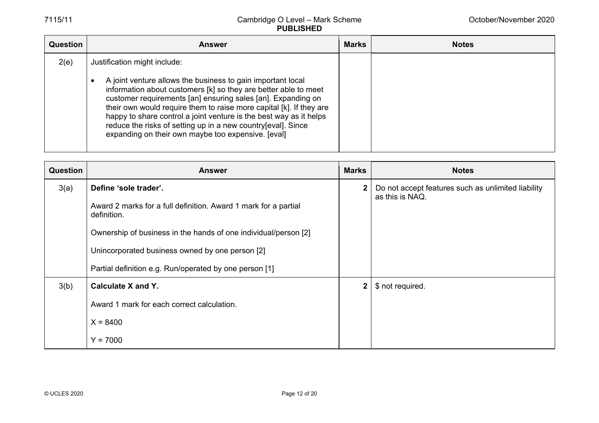| Question | <b>Answer</b>                                                                                                                                                                                                                                                                                                                                                                                                                                                     | <b>Marks</b> | <b>Notes</b> |
|----------|-------------------------------------------------------------------------------------------------------------------------------------------------------------------------------------------------------------------------------------------------------------------------------------------------------------------------------------------------------------------------------------------------------------------------------------------------------------------|--------------|--------------|
| 2(e)     | Justification might include:                                                                                                                                                                                                                                                                                                                                                                                                                                      |              |              |
|          | A joint venture allows the business to gain important local<br>information about customers [k] so they are better able to meet<br>customer requirements [an] ensuring sales [an]. Expanding on<br>their own would require them to raise more capital [k]. If they are<br>happy to share control a joint venture is the best way as it helps<br>reduce the risks of setting up in a new country[eval]. Since<br>expanding on their own maybe too expensive. [eval] |              |              |

| <b>Question</b> | <b>Answer</b>                                                                  | <b>Marks</b> | <b>Notes</b>                                                          |
|-----------------|--------------------------------------------------------------------------------|--------------|-----------------------------------------------------------------------|
| 3(a)            | Define 'sole trader'.                                                          | $\mathbf{2}$ | Do not accept features such as unlimited liability<br>as this is NAQ. |
|                 | Award 2 marks for a full definition. Award 1 mark for a partial<br>definition. |              |                                                                       |
|                 | Ownership of business in the hands of one individual/person [2]                |              |                                                                       |
|                 | Unincorporated business owned by one person [2]                                |              |                                                                       |
|                 | Partial definition e.g. Run/operated by one person [1]                         |              |                                                                       |
| 3(b)            | Calculate X and Y.                                                             | $\mathbf{2}$ | \$ not required.                                                      |
|                 | Award 1 mark for each correct calculation.                                     |              |                                                                       |
|                 | $X = 8400$                                                                     |              |                                                                       |
|                 | $Y = 7000$                                                                     |              |                                                                       |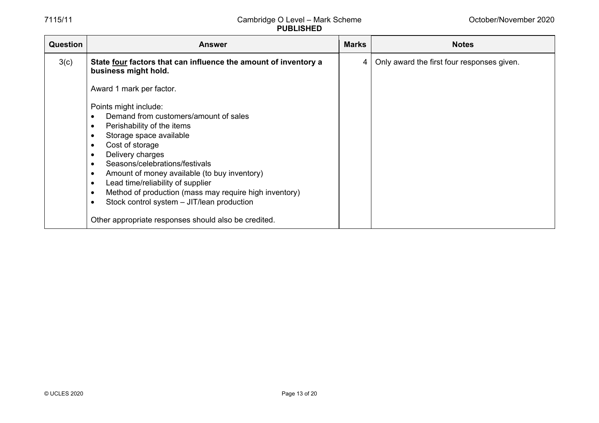| <b>Question</b> | <b>Answer</b>                                                                                                                                                                                                                                                                                                                                                                                                                                                                                             | <b>Marks</b> | <b>Notes</b>                               |
|-----------------|-----------------------------------------------------------------------------------------------------------------------------------------------------------------------------------------------------------------------------------------------------------------------------------------------------------------------------------------------------------------------------------------------------------------------------------------------------------------------------------------------------------|--------------|--------------------------------------------|
| 3(c)            | State <u>four</u> factors that can influence the amount of inventory a<br>business might hold.                                                                                                                                                                                                                                                                                                                                                                                                            | 4 I          | Only award the first four responses given. |
|                 | Award 1 mark per factor.                                                                                                                                                                                                                                                                                                                                                                                                                                                                                  |              |                                            |
|                 | Points might include:<br>Demand from customers/amount of sales<br>Perishability of the items<br>Storage space available<br>$\bullet$<br>Cost of storage<br>$\bullet$<br>Delivery charges<br>Seasons/celebrations/festivals<br>Amount of money available (to buy inventory)<br>$\bullet$<br>Lead time/reliability of supplier<br>$\bullet$<br>Method of production (mass may require high inventory)<br>Stock control system - JIT/lean production<br>Other appropriate responses should also be credited. |              |                                            |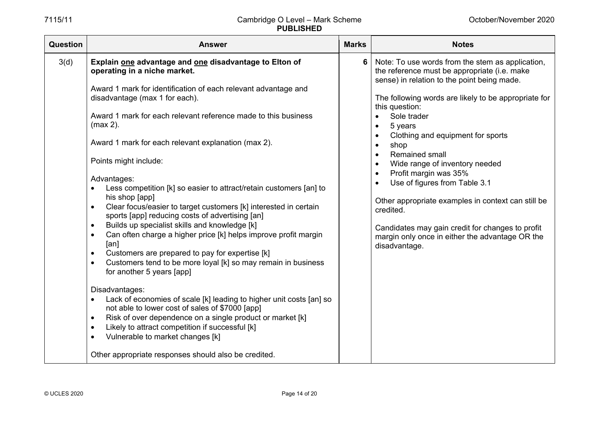| <b>Question</b> | <b>Answer</b>                                                                                                                                                                                                                                                                                                                                                                                                                                                                                                                                                                                                                                                                                                                                                                                                                                                                                                                                                                                                                                                                                                                                                                                                                                                                      | <b>Marks</b> | <b>Notes</b>                                                                                                                                                                                                                                                                                                                                                                                                                                                                                                                                                                                                                                                  |
|-----------------|------------------------------------------------------------------------------------------------------------------------------------------------------------------------------------------------------------------------------------------------------------------------------------------------------------------------------------------------------------------------------------------------------------------------------------------------------------------------------------------------------------------------------------------------------------------------------------------------------------------------------------------------------------------------------------------------------------------------------------------------------------------------------------------------------------------------------------------------------------------------------------------------------------------------------------------------------------------------------------------------------------------------------------------------------------------------------------------------------------------------------------------------------------------------------------------------------------------------------------------------------------------------------------|--------------|---------------------------------------------------------------------------------------------------------------------------------------------------------------------------------------------------------------------------------------------------------------------------------------------------------------------------------------------------------------------------------------------------------------------------------------------------------------------------------------------------------------------------------------------------------------------------------------------------------------------------------------------------------------|
| 3(d)            | Explain one advantage and one disadvantage to Elton of<br>operating in a niche market.<br>Award 1 mark for identification of each relevant advantage and<br>disadvantage (max 1 for each).<br>Award 1 mark for each relevant reference made to this business<br>$(max 2)$ .<br>Award 1 mark for each relevant explanation (max 2).<br>Points might include:<br>Advantages:<br>Less competition [k] so easier to attract/retain customers [an] to<br>his shop [app]<br>Clear focus/easier to target customers [k] interested in certain<br>sports [app] reducing costs of advertising [an]<br>Builds up specialist skills and knowledge [k]<br>Can often charge a higher price [k] helps improve profit margin<br>$\bullet$<br>[an]<br>Customers are prepared to pay for expertise [k]<br>$\bullet$<br>Customers tend to be more loyal [k] so may remain in business<br>$\bullet$<br>for another 5 years [app]<br>Disadvantages:<br>Lack of economies of scale [k] leading to higher unit costs [an] so<br>not able to lower cost of sales of \$7000 [app]<br>Risk of over dependence on a single product or market [k]<br>$\bullet$<br>Likely to attract competition if successful [k]<br>Vulnerable to market changes [k]<br>Other appropriate responses should also be credited. | 6            | Note: To use words from the stem as application,<br>the reference must be appropriate (i.e. make<br>sense) in relation to the point being made.<br>The following words are likely to be appropriate for<br>this question:<br>Sole trader<br>5 years<br>$\bullet$<br>Clothing and equipment for sports<br>shop<br>Remained small<br>Wide range of inventory needed<br>$\bullet$<br>Profit margin was 35%<br>$\bullet$<br>Use of figures from Table 3.1<br>$\bullet$<br>Other appropriate examples in context can still be<br>credited.<br>Candidates may gain credit for changes to profit<br>margin only once in either the advantage OR the<br>disadvantage. |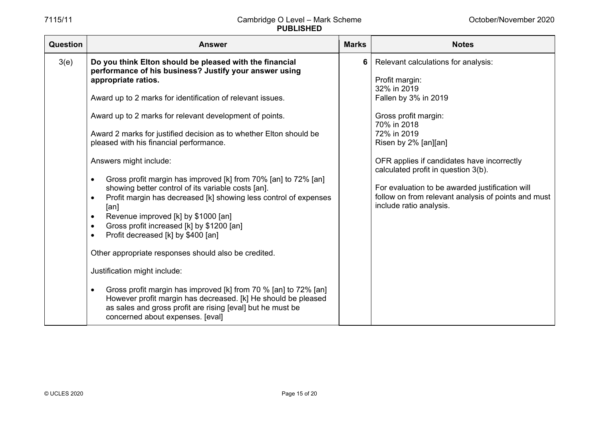| <b>Question</b> | <b>Answer</b>                                                                                                                                                                                                                                                                                                                                                                                                                                                                                                                                                                                                                                                                                                                                                                                                                                                                                                                                                                                                                                                                                                                             | <b>Marks</b> | <b>Notes</b>                                                                                                                                                                                                                                                                                                                                                                                         |
|-----------------|-------------------------------------------------------------------------------------------------------------------------------------------------------------------------------------------------------------------------------------------------------------------------------------------------------------------------------------------------------------------------------------------------------------------------------------------------------------------------------------------------------------------------------------------------------------------------------------------------------------------------------------------------------------------------------------------------------------------------------------------------------------------------------------------------------------------------------------------------------------------------------------------------------------------------------------------------------------------------------------------------------------------------------------------------------------------------------------------------------------------------------------------|--------------|------------------------------------------------------------------------------------------------------------------------------------------------------------------------------------------------------------------------------------------------------------------------------------------------------------------------------------------------------------------------------------------------------|
| 3(e)            | Do you think Elton should be pleased with the financial<br>performance of his business? Justify your answer using<br>appropriate ratios.<br>Award up to 2 marks for identification of relevant issues.<br>Award up to 2 marks for relevant development of points.<br>Award 2 marks for justified decision as to whether Elton should be<br>pleased with his financial performance.<br>Answers might include:<br>Gross profit margin has improved [k] from 70% [an] to 72% [an]<br>$\bullet$<br>showing better control of its variable costs [an].<br>Profit margin has decreased [k] showing less control of expenses<br>$\bullet$<br>[an]<br>Revenue improved [k] by \$1000 [an]<br>$\bullet$<br>Gross profit increased [k] by \$1200 [an]<br>$\bullet$<br>Profit decreased [k] by \$400 [an]<br>Other appropriate responses should also be credited.<br>Justification might include:<br>Gross profit margin has improved [k] from 70 % [an] to 72% [an]<br>$\bullet$<br>However profit margin has decreased. [k] He should be pleased<br>as sales and gross profit are rising [eval] but he must be<br>concerned about expenses. [eval] | 6            | Relevant calculations for analysis:<br>Profit margin:<br>32% in 2019<br>Fallen by 3% in 2019<br>Gross profit margin:<br>70% in 2018<br>72% in 2019<br>Risen by 2% [an][an]<br>OFR applies if candidates have incorrectly<br>calculated profit in question 3(b).<br>For evaluation to be awarded justification will<br>follow on from relevant analysis of points and must<br>include ratio analysis. |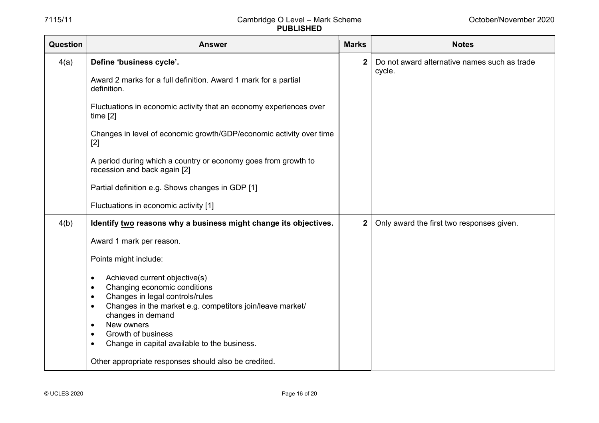| Question | <b>Answer</b>                                                                                                          | <b>Marks</b>   | <b>Notes</b>                                 |
|----------|------------------------------------------------------------------------------------------------------------------------|----------------|----------------------------------------------|
| 4(a)     | Define 'business cycle'.                                                                                               | 2 <sup>1</sup> | Do not award alternative names such as trade |
|          | Award 2 marks for a full definition. Award 1 mark for a partial<br>definition.                                         |                | cycle.                                       |
|          | Fluctuations in economic activity that an economy experiences over<br>time <sub>[2]</sub>                              |                |                                              |
|          | Changes in level of economic growth/GDP/economic activity over time<br>$[2]$                                           |                |                                              |
|          | A period during which a country or economy goes from growth to<br>recession and back again [2]                         |                |                                              |
|          | Partial definition e.g. Shows changes in GDP [1]                                                                       |                |                                              |
|          | Fluctuations in economic activity [1]                                                                                  |                |                                              |
| 4(b)     | Identify two reasons why a business might change its objectives.                                                       | $\mathbf{2}$   | Only award the first two responses given.    |
|          | Award 1 mark per reason.                                                                                               |                |                                              |
|          | Points might include:                                                                                                  |                |                                              |
|          | Achieved current objective(s)<br>$\bullet$                                                                             |                |                                              |
|          | Changing economic conditions<br>$\bullet$                                                                              |                |                                              |
|          | Changes in legal controls/rules<br>$\bullet$<br>Changes in the market e.g. competitors join/leave market/<br>$\bullet$ |                |                                              |
|          | changes in demand                                                                                                      |                |                                              |
|          | New owners<br>$\bullet$<br>Growth of business<br>$\bullet$                                                             |                |                                              |
|          | Change in capital available to the business.<br>٠                                                                      |                |                                              |
|          | Other appropriate responses should also be credited.                                                                   |                |                                              |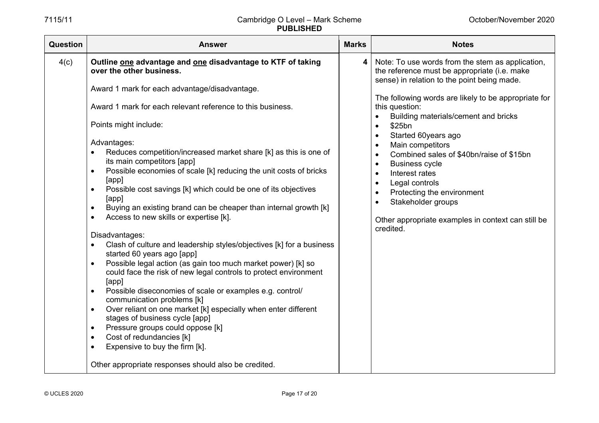| Question | <b>Answer</b>                                                                                                                                                                                                                                                                                                                                                                                                                                                                                                                                                                                                                                                                                                                                                                                                                                                                                                                                                                                                                                                                                                                                                                                                                                                                                                                                                | <b>Marks</b> | <b>Notes</b>                                                                                                                                                                                                                                                                                                                                                                                                                                                                                                                                                                                                                                                                             |
|----------|--------------------------------------------------------------------------------------------------------------------------------------------------------------------------------------------------------------------------------------------------------------------------------------------------------------------------------------------------------------------------------------------------------------------------------------------------------------------------------------------------------------------------------------------------------------------------------------------------------------------------------------------------------------------------------------------------------------------------------------------------------------------------------------------------------------------------------------------------------------------------------------------------------------------------------------------------------------------------------------------------------------------------------------------------------------------------------------------------------------------------------------------------------------------------------------------------------------------------------------------------------------------------------------------------------------------------------------------------------------|--------------|------------------------------------------------------------------------------------------------------------------------------------------------------------------------------------------------------------------------------------------------------------------------------------------------------------------------------------------------------------------------------------------------------------------------------------------------------------------------------------------------------------------------------------------------------------------------------------------------------------------------------------------------------------------------------------------|
| 4(c)     | Outline one advantage and one disadvantage to KTF of taking<br>over the other business.<br>Award 1 mark for each advantage/disadvantage.<br>Award 1 mark for each relevant reference to this business.<br>Points might include:<br>Advantages:<br>Reduces competition/increased market share [k] as this is one of<br>its main competitors [app]<br>Possible economies of scale [k] reducing the unit costs of bricks<br>$\bullet$<br>[app]<br>Possible cost savings [k] which could be one of its objectives<br>$\bullet$<br>[app]<br>Buying an existing brand can be cheaper than internal growth [k]<br>$\bullet$<br>Access to new skills or expertise [k].<br>$\bullet$<br>Disadvantages:<br>Clash of culture and leadership styles/objectives [k] for a business<br>started 60 years ago [app]<br>Possible legal action (as gain too much market power) [k] so<br>could face the risk of new legal controls to protect environment<br>[app]<br>Possible diseconomies of scale or examples e.g. control/<br>communication problems [k]<br>Over reliant on one market [k] especially when enter different<br>$\bullet$<br>stages of business cycle [app]<br>Pressure groups could oppose [k]<br>$\bullet$<br>Cost of redundancies [k]<br>$\bullet$<br>Expensive to buy the firm [k].<br>$\bullet$<br>Other appropriate responses should also be credited. | 4            | Note: To use words from the stem as application,<br>the reference must be appropriate (i.e. make<br>sense) in relation to the point being made.<br>The following words are likely to be appropriate for<br>this question:<br>Building materials/cement and bricks<br>$\bullet$<br>\$25bn<br>$\bullet$<br>Started 60years ago<br>$\bullet$<br>Main competitors<br>$\bullet$<br>Combined sales of \$40bn/raise of \$15bn<br>$\bullet$<br><b>Business cycle</b><br>$\bullet$<br>Interest rates<br>$\bullet$<br>Legal controls<br>$\bullet$<br>Protecting the environment<br>$\bullet$<br>Stakeholder groups<br>$\bullet$<br>Other appropriate examples in context can still be<br>credited. |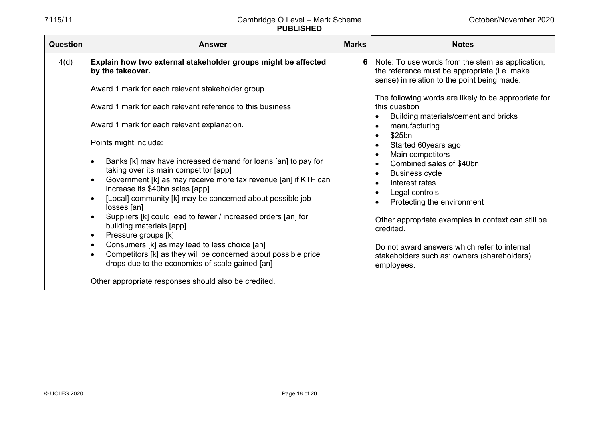| Question | <b>Answer</b>                                                                                                                                                                                                                                                                                                                                                                                                                                                                                                                                                                                                                                                                                                                                                                                                                                                                                                                                                    | <b>Marks</b> | <b>Notes</b>                                                                                                                                                                                                                                                                                                                                                                                                                                                                                                                                                                                                                                                                                                                                                                      |
|----------|------------------------------------------------------------------------------------------------------------------------------------------------------------------------------------------------------------------------------------------------------------------------------------------------------------------------------------------------------------------------------------------------------------------------------------------------------------------------------------------------------------------------------------------------------------------------------------------------------------------------------------------------------------------------------------------------------------------------------------------------------------------------------------------------------------------------------------------------------------------------------------------------------------------------------------------------------------------|--------------|-----------------------------------------------------------------------------------------------------------------------------------------------------------------------------------------------------------------------------------------------------------------------------------------------------------------------------------------------------------------------------------------------------------------------------------------------------------------------------------------------------------------------------------------------------------------------------------------------------------------------------------------------------------------------------------------------------------------------------------------------------------------------------------|
| 4(d)     | Explain how two external stakeholder groups might be affected<br>by the takeover.<br>Award 1 mark for each relevant stakeholder group.<br>Award 1 mark for each relevant reference to this business.<br>Award 1 mark for each relevant explanation.<br>Points might include:<br>Banks [k] may have increased demand for loans [an] to pay for<br>taking over its main competitor [app]<br>Government [k] as may receive more tax revenue [an] if KTF can<br>$\bullet$<br>increase its \$40bn sales [app]<br>[Local] community [k] may be concerned about possible job<br>losses [an]<br>Suppliers [k] could lead to fewer / increased orders [an] for<br>building materials [app]<br>Pressure groups [k]<br>$\bullet$<br>Consumers [k] as may lead to less choice [an]<br>$\bullet$<br>Competitors [k] as they will be concerned about possible price<br>drops due to the economies of scale gained [an]<br>Other appropriate responses should also be credited. | 6            | Note: To use words from the stem as application,<br>the reference must be appropriate (i.e. make<br>sense) in relation to the point being made.<br>The following words are likely to be appropriate for<br>this question:<br>Building materials/cement and bricks<br>$\bullet$<br>manufacturing<br>$\bullet$<br>\$25bn<br>$\bullet$<br>Started 60years ago<br>$\bullet$<br>Main competitors<br>$\bullet$<br>Combined sales of \$40bn<br>$\bullet$<br><b>Business cycle</b><br>$\bullet$<br>Interest rates<br>$\bullet$<br>Legal controls<br>$\bullet$<br>Protecting the environment<br>$\bullet$<br>Other appropriate examples in context can still be<br>credited.<br>Do not award answers which refer to internal<br>stakeholders such as: owners (shareholders),<br>employees. |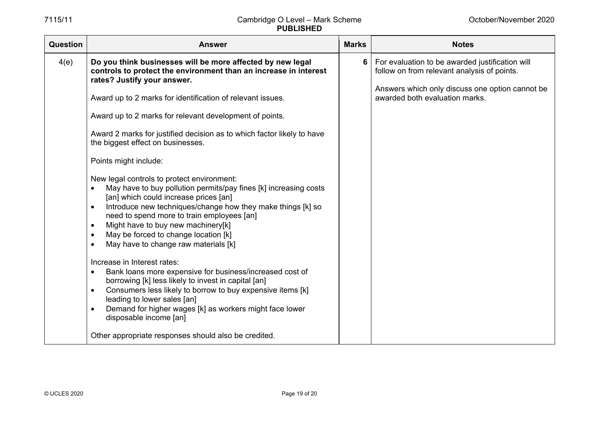| Question | <b>Answer</b>                                                                                                                                                                                                                                                                                                                                                                                                                                                                                                                                                                                                                                            | <b>Marks</b> | <b>Notes</b>                                                                                                                                                                        |
|----------|----------------------------------------------------------------------------------------------------------------------------------------------------------------------------------------------------------------------------------------------------------------------------------------------------------------------------------------------------------------------------------------------------------------------------------------------------------------------------------------------------------------------------------------------------------------------------------------------------------------------------------------------------------|--------------|-------------------------------------------------------------------------------------------------------------------------------------------------------------------------------------|
| 4(e)     | Do you think businesses will be more affected by new legal<br>controls to protect the environment than an increase in interest<br>rates? Justify your answer.<br>Award up to 2 marks for identification of relevant issues.<br>Award up to 2 marks for relevant development of points.<br>Award 2 marks for justified decision as to which factor likely to have<br>the biggest effect on businesses.<br>Points might include:<br>New legal controls to protect environment:<br>May have to buy pollution permits/pay fines [k] increasing costs<br>[an] which could increase prices [an]<br>Introduce new techniques/change how they make things [k] so | 6            | For evaluation to be awarded justification will<br>follow on from relevant analysis of points.<br>Answers which only discuss one option cannot be<br>awarded both evaluation marks. |
|          | need to spend more to train employees [an]<br>Might have to buy new machinery[k]<br>$\bullet$<br>May be forced to change location [k]<br>May have to change raw materials [k]<br>$\bullet$<br>Increase in Interest rates:<br>Bank loans more expensive for business/increased cost of<br>$\bullet$<br>borrowing [k] less likely to invest in capital [an]<br>Consumers less likely to borrow to buy expensive items [k]<br>$\bullet$<br>leading to lower sales [an]<br>Demand for higher wages [k] as workers might face lower<br>$\bullet$<br>disposable income [an]<br>Other appropriate responses should also be credited.                            |              |                                                                                                                                                                                     |